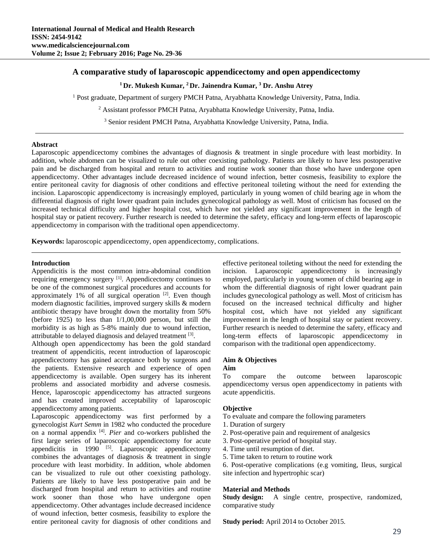# **A comparative study of laparoscopic appendicectomy and open appendicectomy**

## <sup>1</sup> Dr. Mukesh Kumar, <sup>2</sup> Dr. Jainendra Kumar, <sup>3</sup> Dr. Anshu Atrey

<sup>1</sup> Post graduate, Department of surgery PMCH Patna, Aryabhatta Knowledge University, Patna, India.

<sup>2</sup> Assistant professor PMCH Patna, Aryabhatta Knowledge University, Patna, India.

<sup>3</sup> Senior resident PMCH Patna, Aryabhatta Knowledge University, Patna, India.

## **Abstract**

Laparoscopic appendicectomy combines the advantages of diagnosis & treatment in single procedure with least morbidity. In addition, whole abdomen can be visualized to rule out other coexisting pathology. Patients are likely to have less postoperative pain and be discharged from hospital and return to activities and routine work sooner than those who have undergone open appendicectomy. Other advantages include decreased incidence of wound infection, better cosmesis, feasibility to explore the entire peritoneal cavity for diagnosis of other conditions and effective peritoneal toileting without the need for extending the incision. Laparoscopic appendicectomy is increasingly employed, particularly in young women of child bearing age in whom the differential diagnosis of right lower quadrant pain includes gynecological pathology as well. Most of criticism has focused on the increased technical difficulty and higher hospital cost, which have not yielded any significant improvement in the length of hospital stay or patient recovery. Further research is needed to determine the safety, efficacy and long-term effects of laparoscopic appendicectomy in comparison with the traditional open appendicectomy.

**Keywords:** laparoscopic appendicectomy, open appendicectomy, complications.

#### **Introduction**

Appendicitis is the most common intra-abdominal condition requiring emergency surgery [1]. Appendicectomy continues to be one of the commonest surgical procedures and accounts for approximately 1% of all surgical operation  $[2]$ . Even though modern diagnostic facilities, improved surgery skills & modern antibiotic therapy have brought down the mortality from 50% (before  $1925$ ) to less than  $1/1,00,000$  person, but still the morbidity is as high as 5-8% mainly due to wound infection, attributable to delayed diagnosis and delayed treatment [3].

Although open appendicectomy has been the gold standard treatment of appendicitis, recent introduction of laparoscopic appendicectomy has gained acceptance both by surgeons and the patients. Extensive research and experience of open appendicectomy is available. Open surgery has its inherent problems and associated morbidity and adverse cosmesis. Hence, laparoscopic appendicectomy has attracted surgeons and has created improved acceptability of laparoscopic appendicectomy among patients.

Laparoscopic appendicectomy was first performed by a gynecologist *Kurt Semm* in 1982 who conducted the procedure on a normal appendix [4]. *Pier* and co-workers published the first large series of laparoscopic appendicectomy for acute appendicitis in  $1990$ <sup>[5]</sup>. Laparoscopic appendicectomy combines the advantages of diagnosis & treatment in single procedure with least morbidity. In addition, whole abdomen can be visualized to rule out other coexisting pathology. Patients are likely to have less postoperative pain and be discharged from hospital and return to activities and routine work sooner than those who have undergone open appendicectomy. Other advantages include decreased incidence of wound infection, better cosmesis, feasibility to explore the entire peritoneal cavity for diagnosis of other conditions and

effective peritoneal toileting without the need for extending the incision. Laparoscopic appendicectomy is increasingly employed, particularly in young women of child bearing age in whom the differential diagnosis of right lower quadrant pain includes gynecological pathology as well. Most of criticism has focused on the increased technical difficulty and higher hospital cost, which have not yielded any significant improvement in the length of hospital stay or patient recovery. Further research is needed to determine the safety, efficacy and long-term effects of laparoscopic appendicectomy in comparison with the traditional open appendicectomy.

# **Aim & Objectives**

#### **Aim**

To compare the outcome between laparoscopic appendicectomy versus open appendicectomy in patients with acute appendicitis.

## **Objective**

- To evaluate and compare the following parameters
- 1. Duration of surgery
- 2. Post-operative pain and requirement of analgesics
- 3. Post-operative period of hospital stay.
- 4. Time until resumption of diet.
- 5. Time taken to return to routine work

6. Post-operative complications (e.g vomiting, Ileus, surgical site infection and hypertrophic scar)

## **Material and Methods**

Study design: A single centre, prospective, randomized, comparative study

**Study period:** April 2014 to October 2015.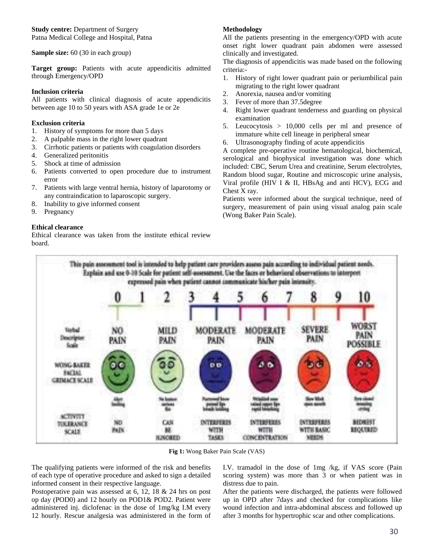**Study centre:** Department of Surgery Patna Medical College and Hospital, Patna

**Sample size:** 60 (30 in each group)

Target group: Patients with acute appendicitis admitted through Emergency/OPD

## **Inclusion criteria**

All patients with clinical diagnosis of acute appendicitis between age 10 to 50 years with ASA grade 1e or 2e

## **Exclusion criteria**

- 1. History of symptoms for more than 5 days
- 2. A palpable mass in the right lower quadrant
- 3. Cirrhotic patients or patients with coagulation disorders
- 4. Generalized peritonitis
- 5. Shock at time of admission
- 6. Patients converted to open procedure due to instrument error
- 7. Patients with large ventral hernia, history of laparotomy or any contraindication to laparoscopic surgery.
- 8. Inability to give informed consent
- 9. Pregnancy

# **Ethical clearance**

Ethical clearance was taken from the institute ethical review board.

# **Methodology**

All the patients presenting in the emergency/OPD with acute onset right lower quadrant pain abdomen were assessed clinically and investigated.

The diagnosis of appendicitis was made based on the following criteria:-

- 1. History of right lower quadrant pain or periumbilical pain migrating to the right lower quadrant
- 2. Anorexia, nausea and/or vomiting
- 3. Fever of more than 37.5degree
- 4. Right lower quadrant tenderness and guarding on physical examination
- 5. Leucocytosis > 10,000 cells per ml and presence of immature white cell lineage in peripheral smear
- 6. Ultrasonography finding of acute appendicitis

A complete pre-operative routine hematological, biochemical, serological and biophysical investigation was done which included: CBC, Serum Urea and creatinine, Serum electrolytes, Random blood sugar, Routine and microscopic urine analysis, Viral profile (HIV I & II, HBsAg and anti HCV), ECG and Chest X ray.

Patients were informed about the surgical technique, need of surgery, measurement of pain using visual analog pain scale (Wong Baker Pain Scale).



**Fig 1:** Wong Baker Pain Scale (VAS)

The qualifying patients were informed of the risk and benefits of each type of operative procedure and asked to sign a detailed informed consent in their respective language.

Postoperative pain was assessed at 6, 12, 18 & 24 hrs on post op day (POD0) and 12 hourly on POD1& POD2. Patient were administered inj. diclofenac in the dose of 1mg/kg I.M every 12 hourly. Rescue analgesia was administered in the form of I.V. tramadol in the dose of 1mg /kg, if VAS score (Pain scoring system) was more than 3 or when patient was in distress due to pain.

After the patients were discharged, the patients were followed up in OPD after 7days and checked for complications like wound infection and intra-abdominal abscess and followed up after 3 months for hypertrophic scar and other complications.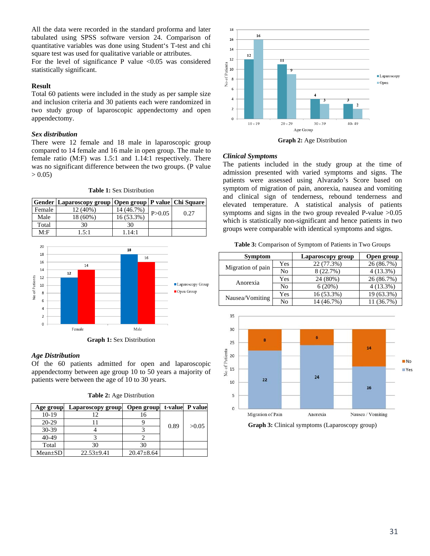All the data were recorded in the standard proforma and later tabulated using SPSS software version 24. Comparison of quantitative variables was done using Student's T-test and chi square test was used for qualitative variable or attributes.

For the level of significance P value  $< 0.05$  was considered statistically significant.

### **Result**

Total 60 patients were included in the study as per sample size and inclusion criteria and 30 patients each were randomized in two study group of laparoscopic appendectomy and open appendectomy.

### *Sex distribution*

There were 12 female and 18 male in laparoscopic group compared to 14 female and 16 male in open group. The male to female ratio (M:F) was 1.5:1 and 1.14:1 respectively. There was no significant difference between the two groups. (P value  $> 0.05$ 

|        | Gender   Laparoscopy group   Open group   P value   Chi Square |            |          |      |
|--------|----------------------------------------------------------------|------------|----------|------|
| Female | 12 (40%)                                                       | 14 (46.7%) | P > 0.05 | 0.27 |
| Male   | 18 (60%)                                                       | 16 (53.3%) |          |      |
| Total  | 30                                                             | 30         |          |      |
| M: F   | 1.5:1                                                          | 1.14:1     |          |      |

**Table 1:** Sex Distribution



#### *Age Distribution*

Of the 60 patients admitted for open and laparoscopic appendectomy between age group 10 to 50 years a majority of patients were between the age of 10 to 30 years.

**Table 2:** Age Distribution

| Age group     | Laparoscopy group | Open group       |      | t-value P value |
|---------------|-------------------|------------------|------|-----------------|
| $10-19$       |                   |                  |      |                 |
| 20-29         |                   |                  |      |                 |
| $30-39$       |                   |                  | 0.89 | >0.05           |
| 40-49         |                   |                  |      |                 |
| Total         | 30                | 30               |      |                 |
| $Mean \pm SD$ | $22.53 \pm 9.41$  | $20.47 \pm 8.64$ |      |                 |



**Graph 2:** Age Distribution

## *Clinical Symptoms*

The patients included in the study group at the time of admission presented with varied symptoms and signs. The patients were assessed using Alvarado's Score based on symptom of migration of pain, anorexia, nausea and vomiting and clinical sign of tenderness, rebound tenderness and elevated temperature. A statistical analysis of patients symptoms and signs in the two group revealed P-value  $>0.05$ which is statistically non-significant and hence patients in two groups were comparable with identical symptoms and signs.

**Table 3:** Comparison of Symptom of Patients in Two Groups

| <b>Symptom</b>    |     | Laparoscopy group | Open group  |  |
|-------------------|-----|-------------------|-------------|--|
| Migration of pain | Yes | 22 (77.3%)        | 26 (86.7%)  |  |
|                   | No  | 8 (22.7%)         | $4(13.3\%)$ |  |
| Anorexia          | Yes | 24 (80%)          | 26 (86.7%)  |  |
|                   | No  | 6(20%)            | $4(13.3\%)$ |  |
|                   | Yes | 16 (53.3%)        | 19 (63.3%)  |  |
| Nausea/Vomiting   | No  | 14 (46.7%)        | 11 (36.7%)  |  |



**Graph 3:** Clinical symptoms (Laparoscopy group)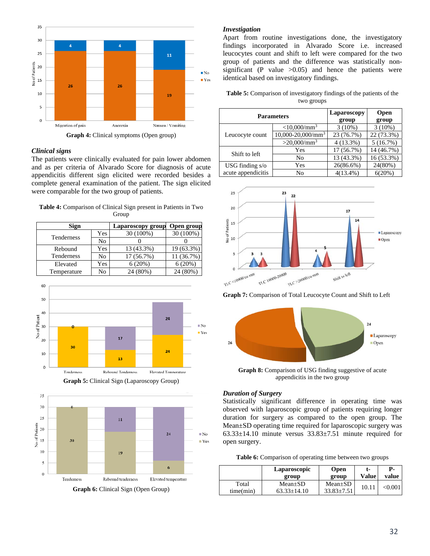

**Graph 4:** Clinical symptoms (Open group)

#### *Clinical signs*

The patients were clinically evaluated for pain lower abdomen and as per criteria of Alvarado Score for diagnosis of acute appendicitis different sign elicited were recorded besides a complete general examination of the patient. The sign elicited were comparable for the two group of patients.

**Table 4:** Comparison of Clinical Sign present in Patients in Two Group

| Sign        |     | Laparoscopy group | Open group |
|-------------|-----|-------------------|------------|
| Tenderness  | Yes | 30 (100%)         | 30 (100%)  |
|             | No  |                   |            |
| Rebound     | Yes | 13 (43.3%)        | 19 (63.3%) |
| Tenderness  | No  | 17 (56.7%)        | 11 (36.7%) |
| Elevated    | Yes | 6(20%)            | 6(20%)     |
| Temperature | No  | 24 (80%)          | $80\%)$    |





**Graph 6:** Clinical Sign (Open Group)

#### *Investigation*

Apart from routine investigations done, the investigatory findings incorporated in Alvarado Score i.e. increased leucocytes count and shift to left were compared for the two group of patients and the difference was statistically nonsignificant (P value  $>0.05$ ) and hence the patients were identical based on investigatory findings.

| <b>Table 5:</b> Comparison of investigatory findings of the patients of the |  |
|-----------------------------------------------------------------------------|--|
| two groups                                                                  |  |

|                    | <b>Parameters</b>          | Laparoscopy<br>group | <b>Open</b><br>group |
|--------------------|----------------------------|----------------------|----------------------|
|                    | $<$ 10,000/mm <sup>3</sup> | $3(10\%)$            | $3(10\%)$            |
| Leucocyte count    | $10,000 - 20,000/mm^3$     | 23 (76.7%)           | 22 (73.3%)           |
|                    | $>20,000/\text{mm}^3$      | $4(13.3\%)$          | 5(16.7%)             |
| Shift to left      | Yes                        | 17 (56.7%)           | 14 (46.7%)           |
|                    | No                         | 13 (43.3%)           | 16 (53.3%)           |
| USG finding $s$ /o | Yes                        | 26(86.6%)            | 24(80%)              |
| acute appendicitis | No                         | $4(13.4\%)$          | 6(20%)               |



**Graph 7:** Comparison of Total Leucocyte Count and Shift to Left



**Graph 8:** Comparison of USG finding suggestive of acute appendicitis in the two group

## *Duration of Surgery*

Statistically significant difference in operating time was observed with laparoscopic group of patients requiring longer duration for surgery as compared to the open group. The Mean±SD operating time required for laparoscopic surgery was  $63.33\pm14.10$  minute versus  $33.83\pm7.51$  minute required for open surgery.

|  | Table 6: Comparison of operating time between two groups |  |
|--|----------------------------------------------------------|--|
|  |                                                          |  |

|                    | Laparoscopic                       | <b>Open</b>                       | t-    | Р.           |
|--------------------|------------------------------------|-----------------------------------|-------|--------------|
|                    | group                              | group                             | Value | value        |
| Total<br>time(min) | $Mean \pm SD$<br>$63.33 \pm 14.10$ | $Mean \pm SD$<br>$33.83 \pm 7.51$ | 10.11 | $<\!\!0.001$ |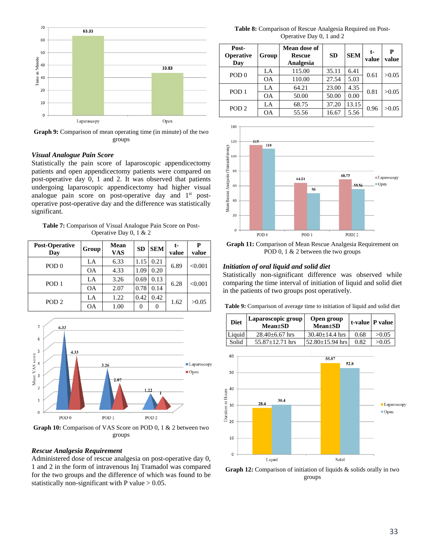

**Graph 9:** Comparison of mean operating time (in minute) of the two groups

#### *Visual Analogue Pain Score*

Statistically the pain score of laparoscopic appendicectomy patients and open appendicectomy patients were compared on post-operative day 0, 1 and 2. It was observed that patients undergoing laparoscopic appendicectomy had higher visual analogue pain score on post-operative day and 1<sup>st</sup> postoperative post-operative day and the difference was statistically significant.

**Table 7:** Comparison of Visual Analogue Pain Score on Post-Operative Day 0, 1 & 2

| <b>Post-Operative</b><br>Day | Group     | <b>Mean</b><br><b>VAS</b> | <b>SD</b> | <b>SEM</b> | t-<br>value | P<br>value |
|------------------------------|-----------|---------------------------|-----------|------------|-------------|------------|
| POD <sub>0</sub>             | LA        | 6.33                      | 1.15      | 0.21       | 6.89        | < 0.001    |
|                              | <b>OA</b> | 4.33                      | 1.09      | 0.20       |             |            |
| POD <sub>1</sub>             | LA        | 3.26                      | 0.69      | 0.13       | 6.28        | < 0.001    |
|                              | <b>OA</b> | 2.07                      | 0.78      | 0.14       |             |            |
| POD <sub>2</sub>             | LA        | 1.22                      | 0.42      | 0.42       | 1.62        | >0.05      |
|                              | <b>OA</b> | 1.00                      | 0         | 0          |             |            |



**Graph 10:** Comparison of VAS Score on POD 0, 1 & 2 between two groups

### *Rescue Analgesia Requirement*

Administered dose of rescue analgesia on post-operative day 0, 1 and 2 in the form of intravenous Inj Tramadol was compared for the two groups and the difference of which was found to be statistically non-significant with P value  $> 0.05$ .

**Table 8:** Comparison of Rescue Analgesia Required on Post-Operative Day 0, 1 and 2

| Post-<br>Operative<br>Day | Group     | Mean dose of<br><b>Rescue</b><br>Analgesia | <b>SD</b> | <b>SEM</b> | t-<br>value | P<br>value |
|---------------------------|-----------|--------------------------------------------|-----------|------------|-------------|------------|
|                           | LA        | 115.00                                     | 35.11     | 6.41       | 0.61        | >0.05      |
| POD <sub>0</sub>          | <b>OA</b> | 110.00                                     | 27.54     | 5.03       |             |            |
|                           | LA        | 64.21                                      | 23.00     | 4.35       | 0.81        | >0.05      |
| POD <sub>1</sub>          | <b>OA</b> | 50.00                                      | 50.00     | 0.00       |             |            |
| POD <sub>2</sub>          | LA        | 68.75                                      | 37.20     | 13.15      | 0.96        | >0.05      |
|                           | <b>OA</b> | 55.56                                      | 16.67     | 5.56       |             |            |



**Graph 11:** Comparison of Mean Rescue Analgesia Requirement on POD 0, 1 & 2 between the two groups

## *Initiation of oral liquid and solid diet*

Statistically non-significant difference was observed while comparing the time interval of initiation of liquid and solid diet in the patients of two groups post operatively.

**Table 9:** Comparison of average time to initiation of liquid and solid diet

| <b>Diet</b> | Laparoscopic group<br><b>Mean</b> ±SD | Open group<br>$Mean \pm SD$ |      | t-value   P value |
|-------------|---------------------------------------|-----------------------------|------|-------------------|
| Liquid      | $28.40\pm 6.67$ hrs                   | $30.40 \pm 14.4$ hrs        | 0.68 | >0.05             |
| Solid       | $55.87 + 12.71$ hrs                   | $52.80 \pm 15.94$ hrs       | 0.82 | >0.05             |



**Graph 12:** Comparison of initiation of liquids & solids orally in two groups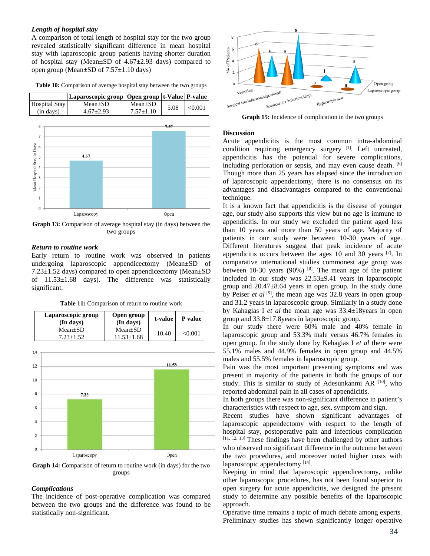#### *Length of hospital stay*

A comparison of total length of hospital stay for the two group revealed statistically significant difference in mean hospital stay with laparoscopic group patients having shorter duration of hospital stay (Mean±SD of 4.67±2.93 days) compared to open group (Mean±SD of 7.57±1.10 days)

**Table 10:** Comparison of average hospital stay between the two groups



**Graph 13:** Comparison of average hospital stay (in days) between the two groups

# *Return to routine work*

Early return to routine work was observed in patients undergoing laparoscopic appendicectomy (Mean±SD of 7.23±1.52 days) compared to open appendicectomy (Mean±SD of 11.53±1.68 days). The difference was statistically significant.

**Table 11:** Comparison of return to routine work

| Laparoscopic group<br>(In days) | Open group<br>(In days)           | t-value | P value      |
|---------------------------------|-----------------------------------|---------|--------------|
| $Mean \pm SD$<br>$7.23 + 1.52$  | $Mean \pm SD$<br>$11.53 \pm 1.68$ | 10.40   | $<\!\!0.001$ |



**Graph 14:** Comparison of return to routine work (in days) for the two groups

#### *Complications*

The incidence of post-operative complication was compared between the two groups and the difference was found to be statistically non-significant.



**Graph 15:** Incidence of complication in the two groups

#### **Discussion**

Acute appendicitis is the most common intra-abdominal condition requiring emergency surgery [1]. Left untreated, appendicitis has the potential for severe complications, including perforation or sepsis, and may even cause death. [6] Though more than 25 years has elapsed since the introduction of laparoscopic appendectomy, there is no consensus on its advantages and disadvantages compared to the conventional technique.

It is a known fact that appendicitis is the disease of younger age, our study also supports this view but no age is immune to appendicitis. In our study we excluded the patient aged less than 10 years and more than 50 years of age. Majority of patients in our study were between 10-30 years of age. Different literatures suggest that peak incidence of acute appendicitis occurs between the ages 10 and 30 years [7]. In comparative international studies commonest age group was between 10-30 years (90%) [8]. The mean age of the patient included in our study was 22.53±9.41 years in laparoscopic group and 20.47±8.64 years in open group. In the study done by Peiser *et al* [9], the mean age was 32.8 years in open group and 31.2 years in laparoscopic group. Similarly in a study done by Kahagias I *et al* the mean age was 33.4±18years in open group and 33.8±17.8years in laparoscopic group.

In our study there were 60% male and 40% female in laparoscopic group and 53.3% male versus 46.7% females in open group. In the study done by Kehagias I *et al* there were 55.1% males and 44.9% females in open group and 44.5% males and 55.5% females in laparoscopic group.

Pain was the most important presenting symptoms and was present in majority of the patients in both the groups of our study. This is similar to study of Adesunkanmi AR  $[10]$ , who reported abdominal pain in all cases of appendicitis.

In both groups there was non-significant difference in patient's characteristics with respect to age, sex, symptom and sign.

Recent studies have shown significant advantages of laparoscopic appendectomy with respect to the length of hospital stay, postoperative pain and infectious complication [11, 12, 13] These findings have been challenged by other authors who observed no significant difference in the outcome between the two procedures, and moreover noted higher costs with laparoscopic appendectomy [14].

Keeping in mind that laparoscopic appendicectomy, unlike other laparoscopic procedures, has not been found superior to open surgery for acute appendicitis, we designed the present study to determine any possible benefits of the laparoscopic approach.

Operative time remains a topic of much debate among experts. Preliminary studies has shown significantly longer operative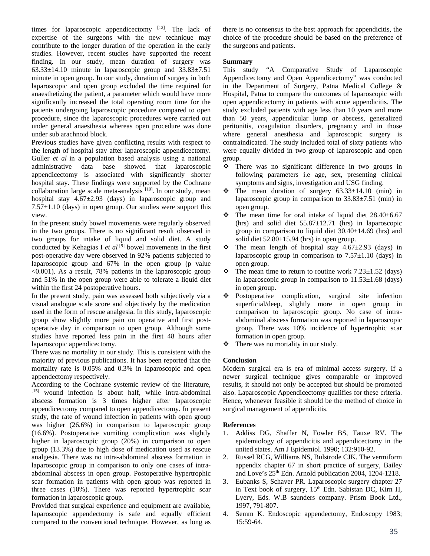times for laparoscopic appendicectomy  $[12]$ . The lack of expertise of the surgeons with the new technique may contribute to the longer duration of the operation in the early studies. However, recent studies have supported the recent finding. In our study, mean duration of surgery was 63.33±14.10 minute in laparoscopic group and 33.83±7.51 minute in open group. In our study, duration of surgery in both laparoscopic and open group excluded the time required for anaesthetizing the patient, a parameter which would have more significantly increased the total operating room time for the patients undergoing laparoscopic procedure compared to open procedure, since the laparoscopic procedures were carried out under general anaesthesia whereas open procedure was done under sub arachnoid block.

Previous studies have given conflicting results with respect to the length of hospital stay after laparoscopic appendicectomy. Guller *et al* in a population based analysis using a national administrative data base showed that laparoscopic appendicectomy is associated with significantly shorter hospital stay. These findings were supported by the Cochrane collaboration large scale meta-analysis  $[10]$ . In our study, mean hospital stay 4.67±2.93 (days) in laparoscopic group and  $7.57\pm1.10$  (days) in open group. Our studies were support this view.

In the present study bowel movements were regularly observed in the two groups. There is no significant result observed in two groups for intake of liquid and solid diet. A study conducted by Kehagias I et al<sup>[9]</sup> bowel movements in the first post-operative day were observed in 92% patients subjected to laparoscopic group and 67% in the open group (p value <0.001). As a result, 78% patients in the laparoscopic group and 51% in the open group were able to tolerate a liquid diet within the first 24 postoperative hours.

In the present study, pain was assessed both subjectively via a visual analogue scale score and objectively by the medication used in the form of rescue analgesia. In this study, laparoscopic group show slightly more pain on operative and first postoperative day in comparison to open group. Although some studies have reported less pain in the first 48 hours after laparoscopic appendicectomy.

There was no mortality in our study. This is consistent with the majority of previous publications. It has been reported that the mortality rate is 0.05% and 0.3% in laparoscopic and open appendectomy respectively.

According to the Cochrane systemic review of the literature, [15] wound infection is about half, while intra-abdominal abscess formation is 3 times higher after laparoscopic appendicectomy compared to open appendicectomy. In present study, the rate of wound infection in patients with open group was higher (26.6%) in comparison to laparoscopic group (16.6%). Postoperative vomiting complication was slightly higher in laparoscopic group (20%) in comparison to open group (13.3%) due to high dose of medication used as rescue analgesia. There was no intra-abdominal abscess formation in laparoscopic group in comparison to only one cases of intraabdominal abscess in open group. Postoperative hypertrophic scar formation in patients with open group was reported in three cases (10%). There was reported hypertrophic scar formation in laparoscopic group.

Provided that surgical experience and equipment are available, laparoscopic appendectomy is safe and equally efficient compared to the conventional technique. However, as long as there is no consensus to the best approach for appendicitis, the choice of the procedure should be based on the preference of the surgeons and patients.

# **Summary**

This study "A Comparative Study of Laparoscopic Appendicectomy and Open Appendicectomy" was conducted in the Department of Surgery, Patna Medical College & Hospital, Patna to compare the outcomes of laparoscopic with open appendicectomy in patients with acute appendicitis. The study excluded patients with age less than 10 years and more than 50 years, appendicular lump or abscess, generalized peritonitis, coagulation disorders, pregnancy and in those where general anesthesia and laparoscopic surgery is contraindicated. The study included total of sixty patients who were equally divided in two group of laparoscopic and open group.

- There was no significant difference in two groups in following parameters i.e age, sex, presenting clinical symptoms and signs, investigation and USG finding.
- $\div$  The mean duration of surgery 63.33 $\pm$ 14.10 (min) in laparoscopic group in comparison to  $33.83\pm7.51$  (min) in open group.
- $\div$  The mean time for oral intake of liquid diet 28.40±6.67 (hrs) and solid diet  $55.87 \pm 12.71$  (hrs) in laparoscopic group in comparison to liquid diet 30.40±14.69 (hrs) and solid diet 52.80±15.94 (hrs) in open group.
- $\div$  The mean length of hospital stay 4.67 $\pm$ 2.93 (days) in laparoscopic group in comparison to  $7.57\pm1.10$  (days) in open group.
- $\div$  The mean time to return to routine work 7.23 $\pm$ 1.52 (days) in laparoscopic group in comparison to  $11.53\pm1.68$  (days) in open group.
- Postoperative complication, surgical site infection superficial/deep, slightly more in open group in comparison to laparoscopic group. No case of intraabdominal abscess formation was reported in laparoscopic group. There was 10% incidence of hypertrophic scar formation in open group.
- There was no mortality in our study.

# **Conclusion**

Modern surgical era is era of minimal access surgery. If a newer surgical technique gives comparable or improved results, it should not only be accepted but should be promoted also. Laparoscopic Appendicectomy qualifies for these criteria. Hence, whenever feasible it should be the method of choice in surgical management of appendicitis.

# **References**

- 1. Addiss DG, Shaffer N, Fowler BS, Tauxe RV. The epidemiology of appendicitis and appendicectomy in the united states. Am J Epidemiol. 1990; 132:910-92.
- 2. Russel RCG, Williams NS, Bulstrode CJK. The vermiform appendix chapter 67 in short practice of surgery, Bailey and Love's 25th Edn. Arnold publication 2004, 1204-1218.
- 3. Eubanks S, Schaver PR. Laparoscopic surgery chapter 27 in Text book of surgery, 15<sup>th</sup> Edn. Sabistan DC, Kirn H, Lyery, Eds. W.B saunders company. Prism Book Ltd., 1997, 791-807.
- 4. Semm K. Endoscopic appendectomy, Endoscopy 1983; 15:59-64.